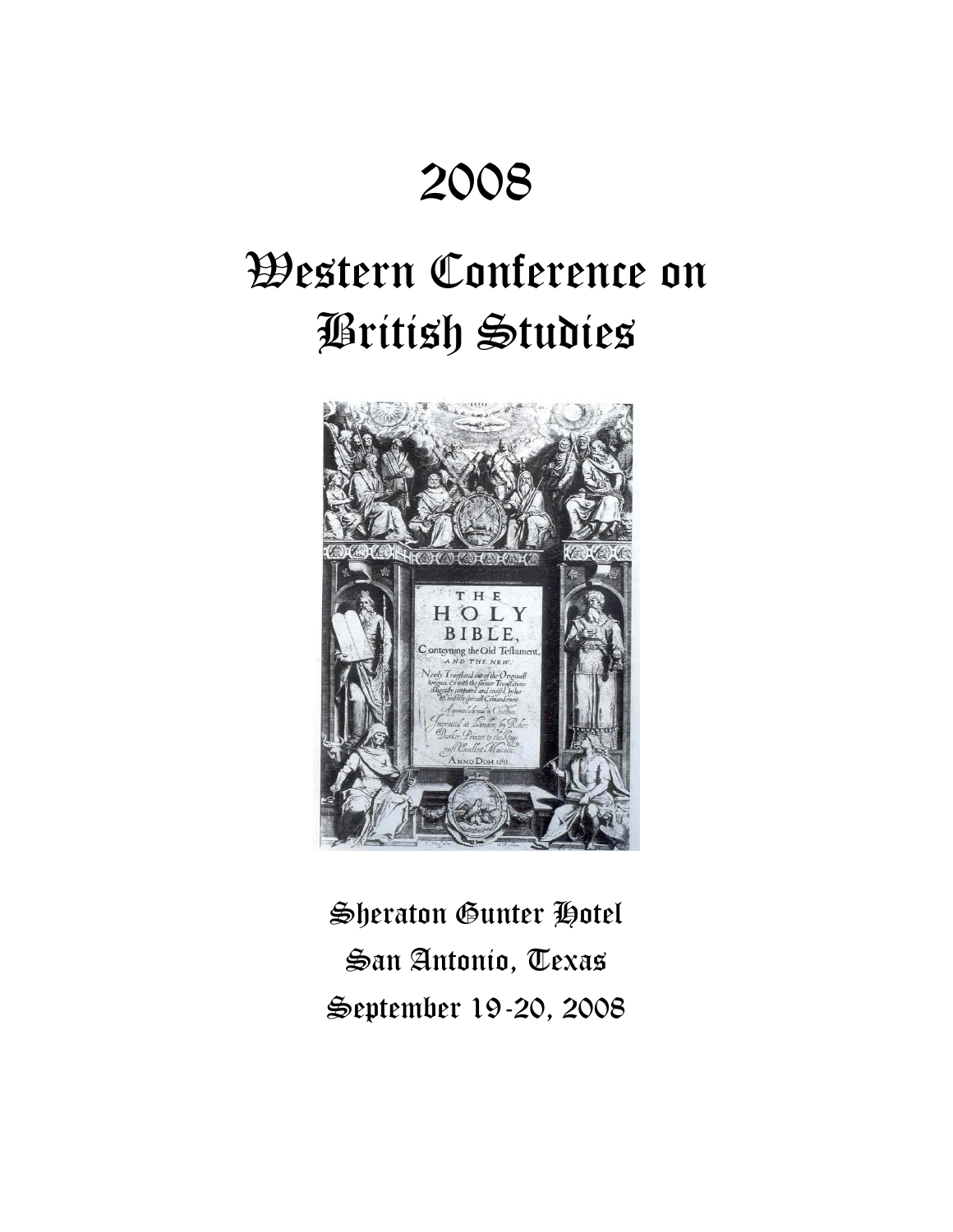# 2008

# Western Conference on British Studies



Sheraton Gunter Hotel San Antonio, Texas September 19-20, 2008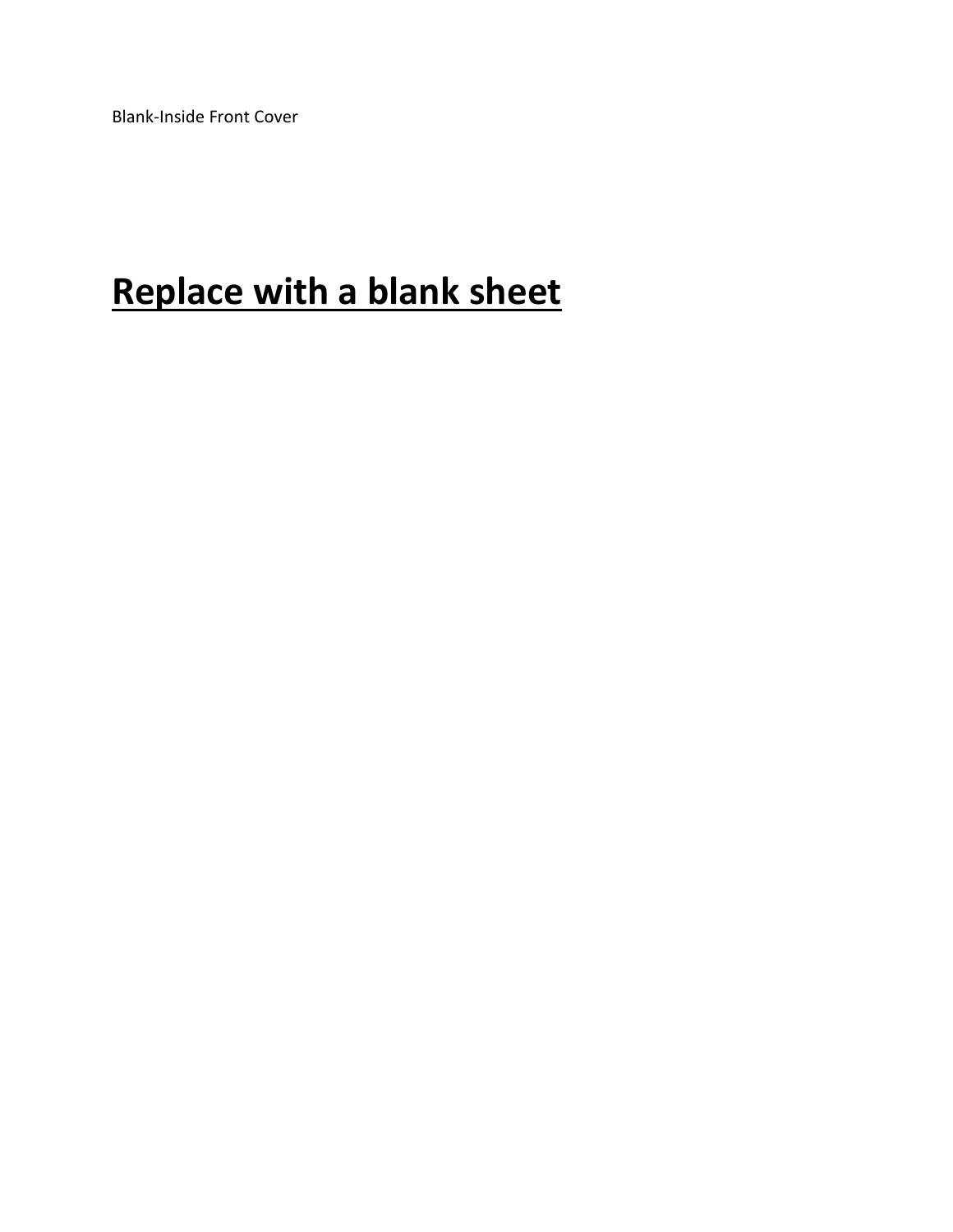Blank-Inside Front Cover

## **Replace with a blank sheet**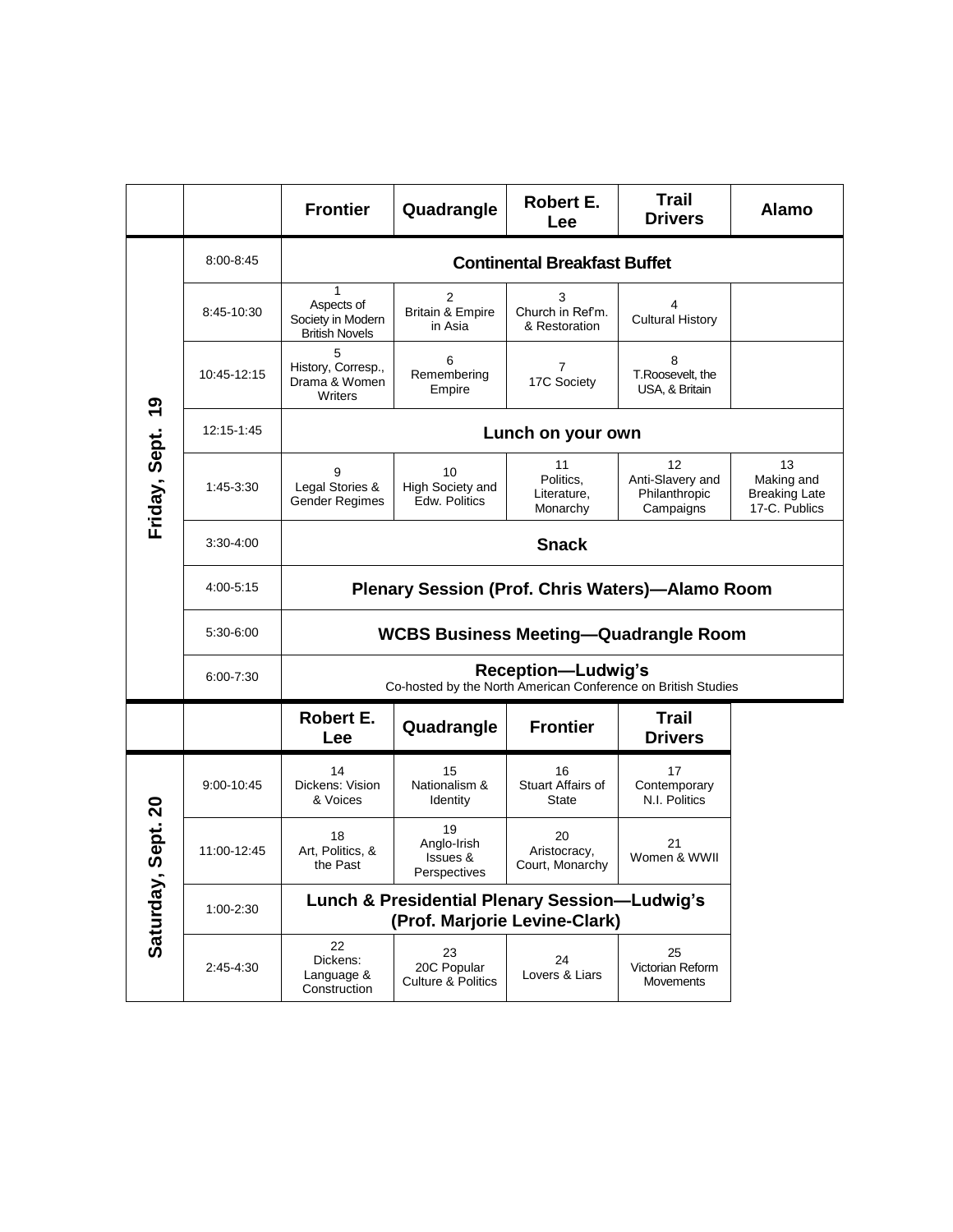|                           |             | <b>Frontier</b>                                                                            | Quadrangle                                         | <b>Robert E.</b><br>Lee                    | <b>Trail</b><br><b>Drivers</b>                       | <b>Alamo</b>                                              |  |
|---------------------------|-------------|--------------------------------------------------------------------------------------------|----------------------------------------------------|--------------------------------------------|------------------------------------------------------|-----------------------------------------------------------|--|
| <u>၃</u><br>Friday, Sept. | 8:00-8:45   |                                                                                            |                                                    |                                            |                                                      |                                                           |  |
|                           | 8:45-10:30  | 1<br>Aspects of<br>Society in Modern<br><b>British Novels</b>                              | 2<br><b>Britain &amp; Empire</b><br>in Asia        | 3<br>Church in Ref'm.<br>& Restoration     | 4<br><b>Cultural History</b>                         |                                                           |  |
|                           | 10:45-12:15 | 5<br>History, Corresp.,<br>Drama & Women<br>Writers                                        | 6<br>Remembering<br>Empire                         | 7<br>17C Society                           | 8<br>T.Roosevelt, the<br>USA, & Britain              |                                                           |  |
|                           | 12:15-1:45  | Lunch on your own                                                                          |                                                    |                                            |                                                      |                                                           |  |
|                           | 1:45-3:30   | 9<br>Legal Stories &<br><b>Gender Regimes</b>                                              | 10<br>High Society and<br>Edw. Politics            | 11<br>Politics,<br>Literature,<br>Monarchy | 12<br>Anti-Slavery and<br>Philanthropic<br>Campaigns | 13<br>Making and<br><b>Breaking Late</b><br>17-C. Publics |  |
|                           | 3:30-4:00   | <b>Snack</b>                                                                               |                                                    |                                            |                                                      |                                                           |  |
|                           | 4:00-5:15   | Plenary Session (Prof. Chris Waters)-Alamo Room                                            |                                                    |                                            |                                                      |                                                           |  |
|                           | 5:30-6:00   | <b>WCBS Business Meeting-Quadrangle Room</b>                                               |                                                    |                                            |                                                      |                                                           |  |
|                           | 6:00-7:30   | <b>Reception-Ludwig's</b><br>Co-hosted by the North American Conference on British Studies |                                                    |                                            |                                                      |                                                           |  |
|                           |             | Robert E.<br>Lee                                                                           | Quadrangle                                         | <b>Frontier</b>                            | <b>Trail</b><br><b>Drivers</b>                       |                                                           |  |
|                           | 9:00-10:45  | 14<br>Dickens: Vision<br>& Voices                                                          | 15<br>Nationalism &<br>Identity                    | 16<br>Stuart Affairs of<br>State           | 17<br>Contemporary<br>N.I. Politics                  |                                                           |  |
| Sept. 20<br>Saturday      | 11:00-12:45 | 18<br>Art, Politics, &<br>the Past                                                         | 19<br>Anglo-Irish<br>Issues &<br>Perspectives      | 20<br>Aristocracy,<br>Court, Monarchy      | 21<br>Women & WWII                                   |                                                           |  |
|                           | 1:00-2:30   | Lunch & Presidential Plenary Session-Ludwig's<br>(Prof. Marjorie Levine-Clark)             |                                                    |                                            |                                                      |                                                           |  |
|                           | 2:45-4:30   | 22<br>Dickens:<br>Language &<br>Construction                                               | 23<br>20C Popular<br><b>Culture &amp; Politics</b> | 24<br>Lovers & Liars                       | 25<br>Victorian Reform<br><b>Movements</b>           |                                                           |  |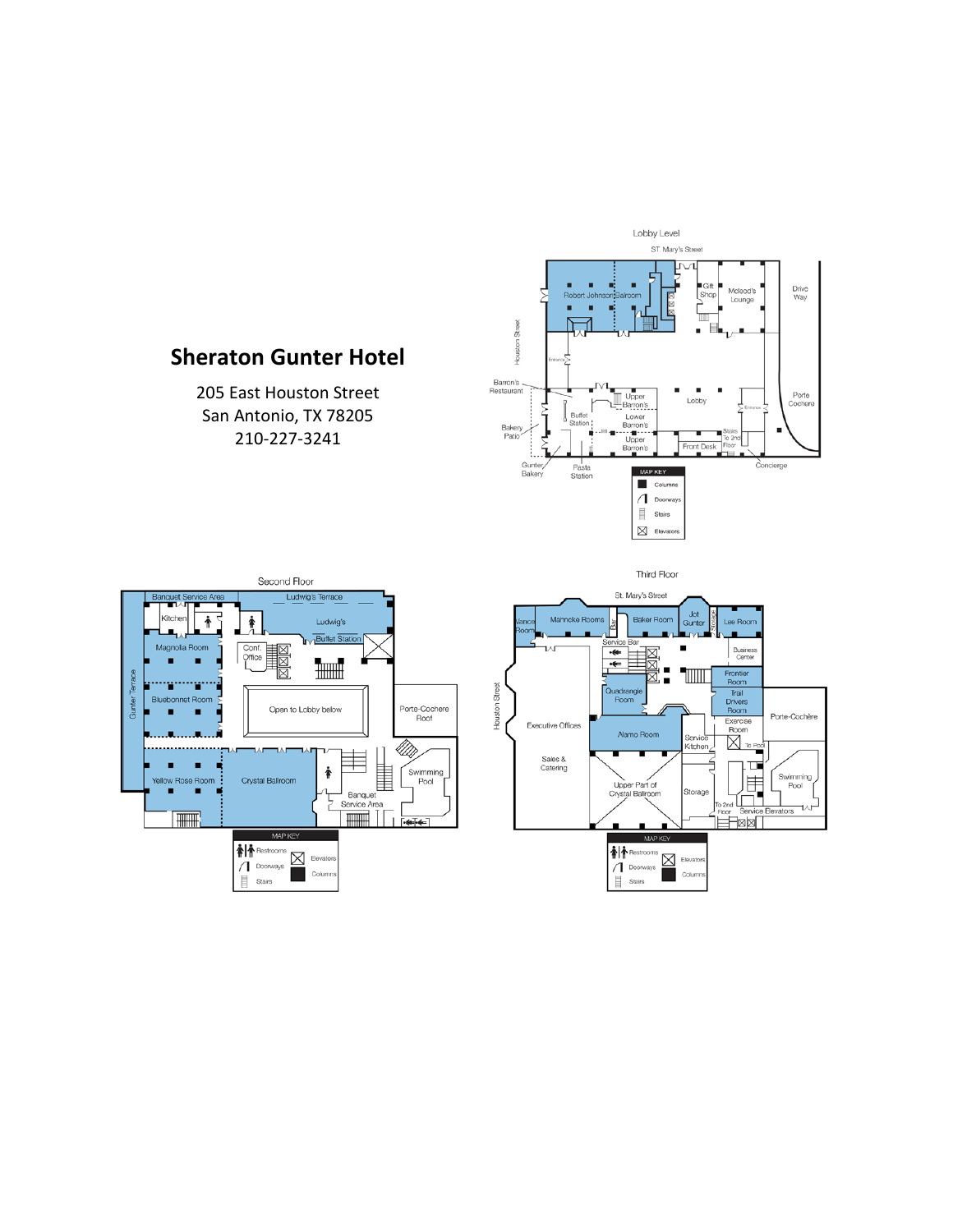

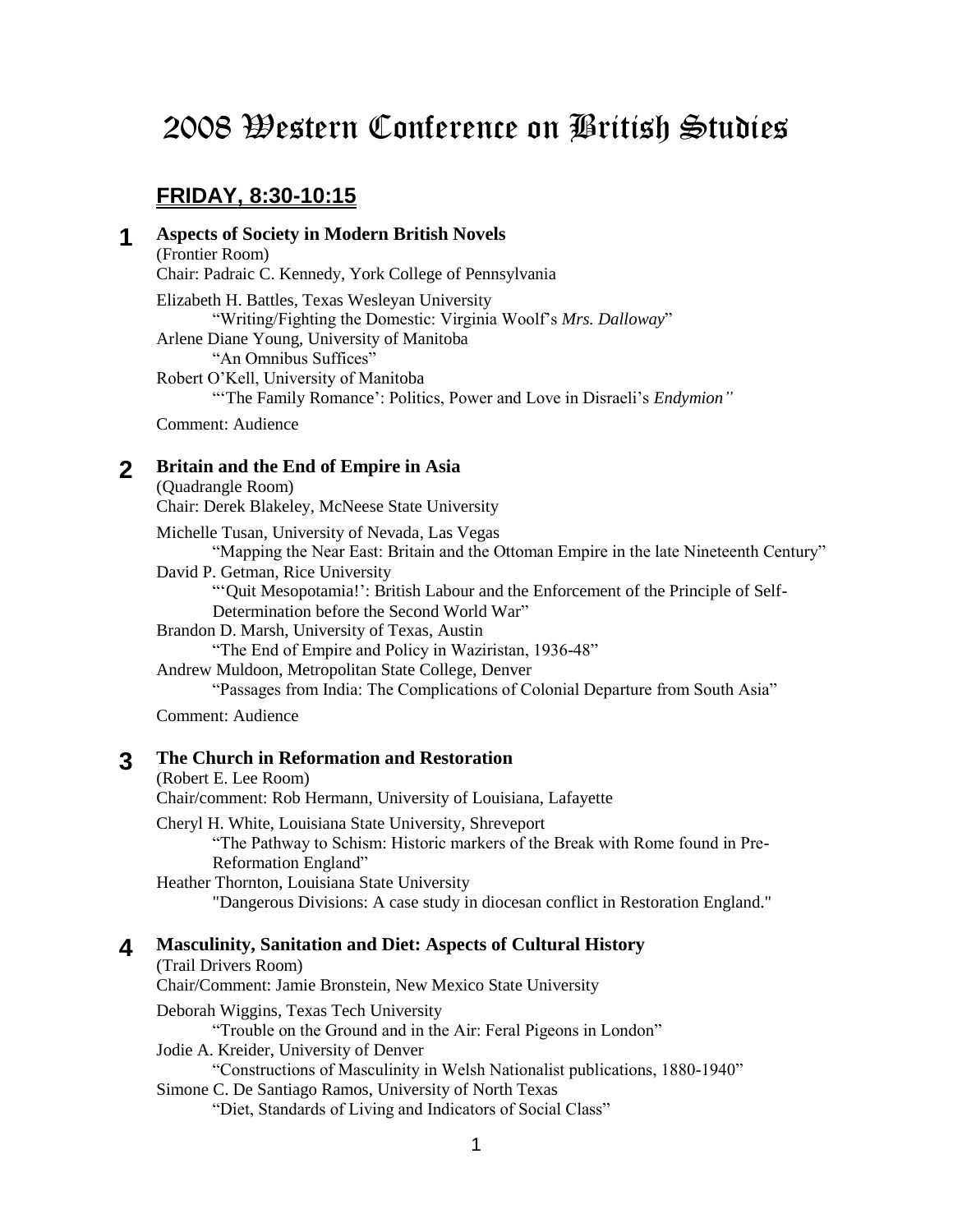## 2008 Western Conference on British Studies

## **FRIDAY, 8:30-10:15**

**1 Aspects of Society in Modern British Novels** (Frontier Room) Chair: Padraic C. Kennedy, York College of Pennsylvania Elizabeth H. Battles, Texas Wesleyan University "Writing/Fighting the Domestic: Virginia Woolf's *Mrs. Dalloway*" Arlene Diane Young, University of Manitoba "An Omnibus Suffices" Robert O'Kell, University of Manitoba "'The Family Romance': Politics, Power and Love in Disraeli's *Endymion"* Comment: Audience

#### **2 Britain and the End of Empire in Asia**

(Quadrangle Room)

Chair: Derek Blakeley, McNeese State University

Michelle Tusan, University of Nevada, Las Vegas

"Mapping the Near East: Britain and the Ottoman Empire in the late Nineteenth Century"

David P. Getman, Rice University

"'Quit Mesopotamia!': British Labour and the Enforcement of the Principle of Self-

Determination before the Second World War"

Brandon D. Marsh, University of Texas, Austin

"The End of Empire and Policy in Waziristan, 1936-48"

Andrew Muldoon, Metropolitan State College, Denver

"Passages from India: The Complications of Colonial Departure from South Asia"

Comment: Audience

#### **3 The Church in Reformation and Restoration**

(Robert E. Lee Room) Chair/comment: Rob Hermann, University of Louisiana, Lafayette Cheryl H. White, Louisiana State University, Shreveport "The Pathway to Schism: Historic markers of the Break with Rome found in Pre-Reformation England" Heather Thornton, Louisiana State University "Dangerous Divisions: A case study in diocesan conflict in Restoration England."

#### **4 Masculinity, Sanitation and Diet: Aspects of Cultural History**

(Trail Drivers Room) Chair/Comment: Jamie Bronstein, New Mexico State University Deborah Wiggins, Texas Tech University "Trouble on the Ground and in the Air: Feral Pigeons in London" Jodie A. Kreider, University of Denver "Constructions of Masculinity in Welsh Nationalist publications, 1880-1940" Simone C. De Santiago Ramos, University of North Texas "Diet, Standards of Living and Indicators of Social Class"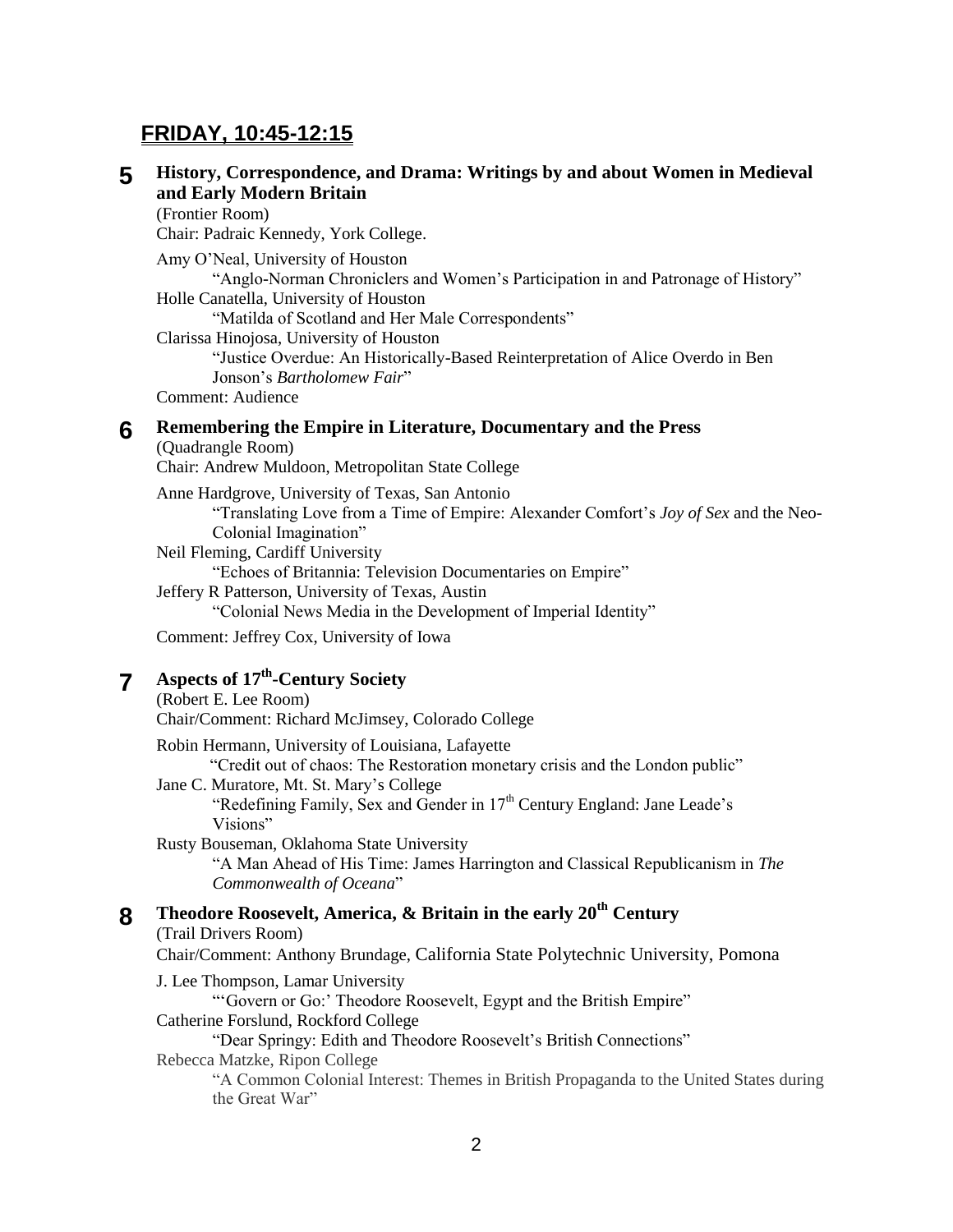## **FRIDAY, 10:45-12:15**

#### **5 History, Correspondence, and Drama: Writings by and about Women in Medieval and Early Modern Britain**

(Frontier Room) Chair: Padraic Kennedy, York College. Amy O'Neal, University of Houston "Anglo-Norman Chroniclers and Women's Participation in and Patronage of History" Holle Canatella, University of Houston "Matilda of Scotland and Her Male Correspondents" Clarissa Hinojosa, University of Houston "Justice Overdue: An Historically-Based Reinterpretation of Alice Overdo in Ben Jonson's *Bartholomew Fair*" Comment: Audience

#### **6 Remembering the Empire in Literature, Documentary and the Press** (Quadrangle Room)

Chair: Andrew Muldoon, Metropolitan State College

Anne Hardgrove, University of Texas, San Antonio

"Translating Love from a Time of Empire: Alexander Comfort's *Joy of Sex* and the Neo-Colonial Imagination"

Neil Fleming, Cardiff University

"Echoes of Britannia: Television Documentaries on Empire"

Jeffery R Patterson, University of Texas, Austin

"Colonial News Media in the Development of Imperial Identity"

Comment: Jeffrey Cox, University of Iowa

## **7 Aspects of 17th -Century Society**

(Robert E. Lee Room) Chair/Comment: Richard McJimsey, Colorado College Robin Hermann, University of Louisiana, Lafayette "Credit out of chaos: The Restoration monetary crisis and the London public" Jane C. Muratore, Mt. St. Mary's College "Redefining Family, Sex and Gender in  $17<sup>th</sup>$  Century England: Jane Leade's Visions" Rusty Bouseman, Oklahoma State University "A Man Ahead of His Time: James Harrington and Classical Republicanism in *The Commonwealth of Oceana*" **8 Theodore Roosevelt, America, & Britain in the early 20th Century** (Trail Drivers Room) Chair/Comment: Anthony Brundage, [California State Polytechnic University, Pomona](http://www.csupomona.edu/) J. Lee Thompson, Lamar University "'Govern or Go:' Theodore Roosevelt, Egypt and the British Empire" Catherine Forslund, Rockford College "Dear Springy: Edith and Theodore Roosevelt's British Connections" Rebecca Matzke, Ripon College

> "A Common Colonial Interest: Themes in British Propaganda to the United States during the Great War"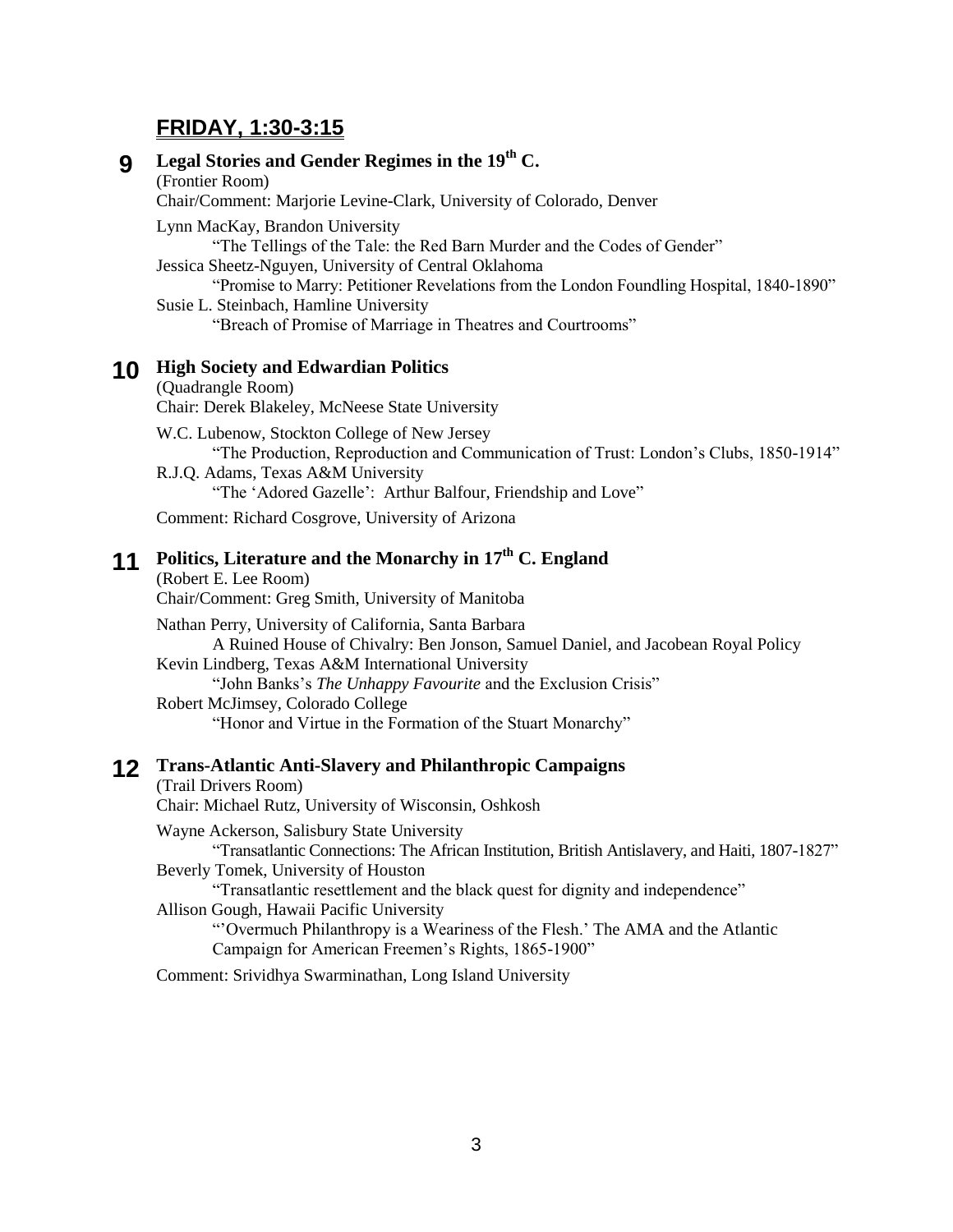## **FRIDAY, 1:30-3:15**

| 9  | Legal Stories and Gender Regimes in the 19 <sup>th</sup> C.<br>(Frontier Room)                                                                                                                                                                                                                                                                                          |  |  |  |  |  |  |
|----|-------------------------------------------------------------------------------------------------------------------------------------------------------------------------------------------------------------------------------------------------------------------------------------------------------------------------------------------------------------------------|--|--|--|--|--|--|
|    | Chair/Comment: Marjorie Levine-Clark, University of Colorado, Denver                                                                                                                                                                                                                                                                                                    |  |  |  |  |  |  |
|    | Lynn MacKay, Brandon University<br>"The Tellings of the Tale: the Red Barn Murder and the Codes of Gender"<br>Jessica Sheetz-Nguyen, University of Central Oklahoma<br>"Promise to Marry: Petitioner Revelations from the London Foundling Hospital, 1840-1890"<br>Susie L. Steinbach, Hamline University<br>"Breach of Promise of Marriage in Theatres and Courtrooms" |  |  |  |  |  |  |
| 10 | <b>High Society and Edwardian Politics</b><br>(Quadrangle Room)<br>Chair: Derek Blakeley, McNeese State University                                                                                                                                                                                                                                                      |  |  |  |  |  |  |
|    | W.C. Lubenow, Stockton College of New Jersey<br>"The Production, Reproduction and Communication of Trust: London's Clubs, 1850-1914"<br>R.J.Q. Adams, Texas A&M University<br>"The 'Adored Gazelle': Arthur Balfour, Friendship and Love"                                                                                                                               |  |  |  |  |  |  |
|    | Comment: Richard Cosgrove, University of Arizona                                                                                                                                                                                                                                                                                                                        |  |  |  |  |  |  |
| 11 | Politics, Literature and the Monarchy in 17 <sup>th</sup> C. England<br>(Robert E. Lee Room)<br>Chair/Comment: Greg Smith, University of Manitoba                                                                                                                                                                                                                       |  |  |  |  |  |  |
|    | Nathan Perry, University of California, Santa Barbara<br>A Ruined House of Chivalry: Ben Jonson, Samuel Daniel, and Jacobean Royal Policy<br>Kevin Lindberg, Texas A&M International University<br>"John Banks's The Unhappy Favourite and the Exclusion Crisis"<br>Robert McJimsey, Colorado College<br>"Honor and Virtue in the Formation of the Stuart Monarchy"     |  |  |  |  |  |  |
| 12 | <b>Trans-Atlantic Anti-Slavery and Philanthropic Campaigns</b><br>(Trail Drivers Room)<br>Chair: Michael Rutz, University of Wisconsin, Oshkosh                                                                                                                                                                                                                         |  |  |  |  |  |  |
|    | Wayne Ackerson, Salisbury State University<br>"Transatlantic Connections: The African Institution, British Antislavery, and Haiti, 1807-1827"<br>Beverly Tomek, University of Houston<br>"Transatlantic resettlement and the black quest for dignity and independence"                                                                                                  |  |  |  |  |  |  |

Allison Gough, Hawaii Pacific University

"'Overmuch Philanthropy is a Weariness of the Flesh.' The AMA and the Atlantic Campaign for American Freemen's Rights, 1865-1900"

Comment: Srividhya Swarminathan, Long Island University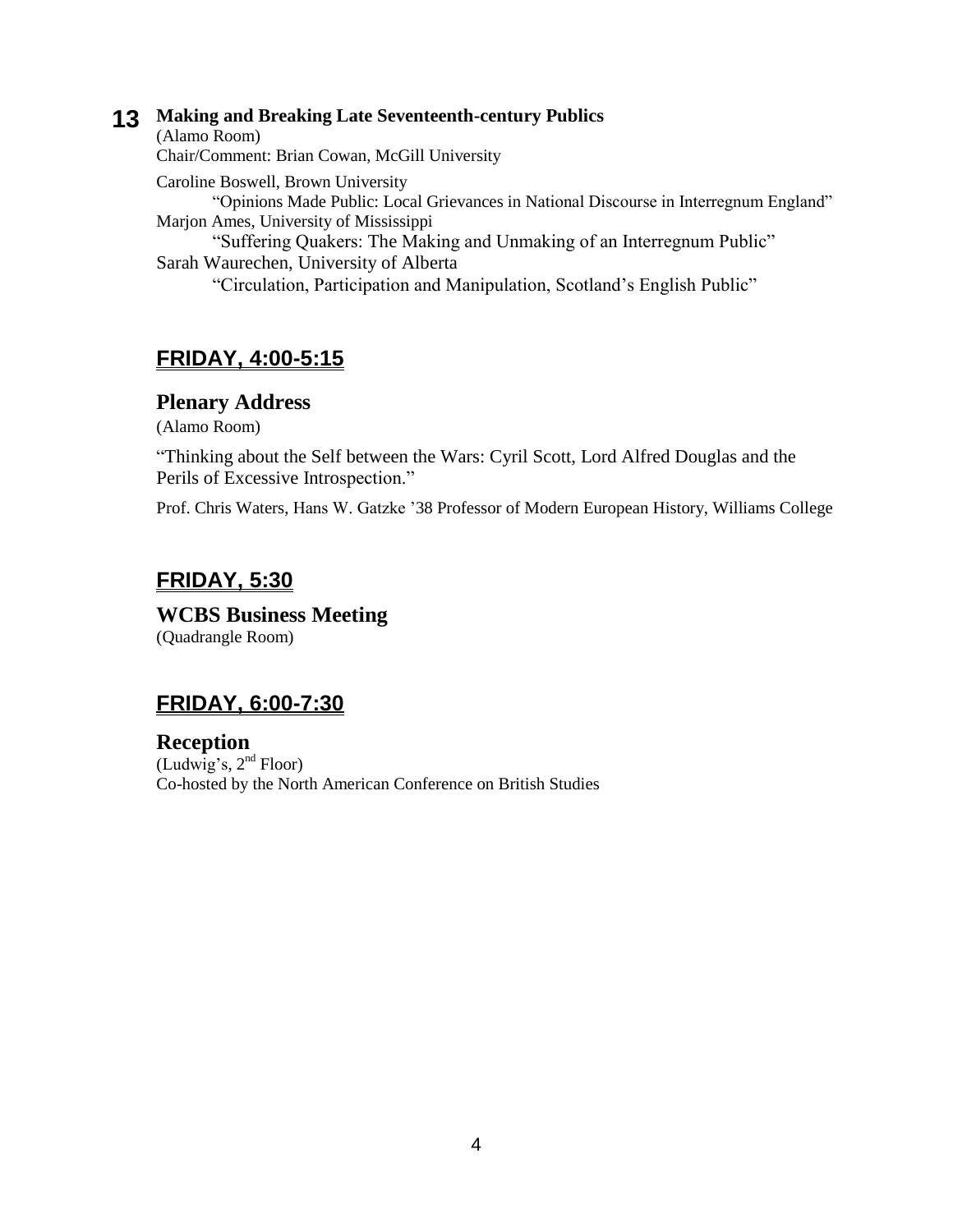## **13 Making and Breaking Late Seventeenth-century Publics**

(Alamo Room) Chair/Comment: Brian Cowan, McGill University Caroline Boswell, Brown University

"Opinions Made Public: Local Grievances in National Discourse in Interregnum England" Marjon Ames, University of Mississippi

"Suffering Quakers: The Making and Unmaking of an Interregnum Public" Sarah Waurechen, University of Alberta

"Circulation, Participation and Manipulation, Scotland's English Public"

## **FRIDAY, 4:00-5:15**

### **Plenary Address**

(Alamo Room)

"Thinking about the Self between the Wars: Cyril Scott, Lord Alfred Douglas and the Perils of Excessive Introspection."

Prof. Chris Waters, Hans W. Gatzke '38 Professor of Modern European History, Williams College

## **FRIDAY, 5:30**

**WCBS Business Meeting** (Quadrangle Room)

## **FRIDAY, 6:00-7:30**

**Reception**  $(Ludwig's, 2<sup>nd</sup> Floor)$ Co-hosted by the North American Conference on British Studies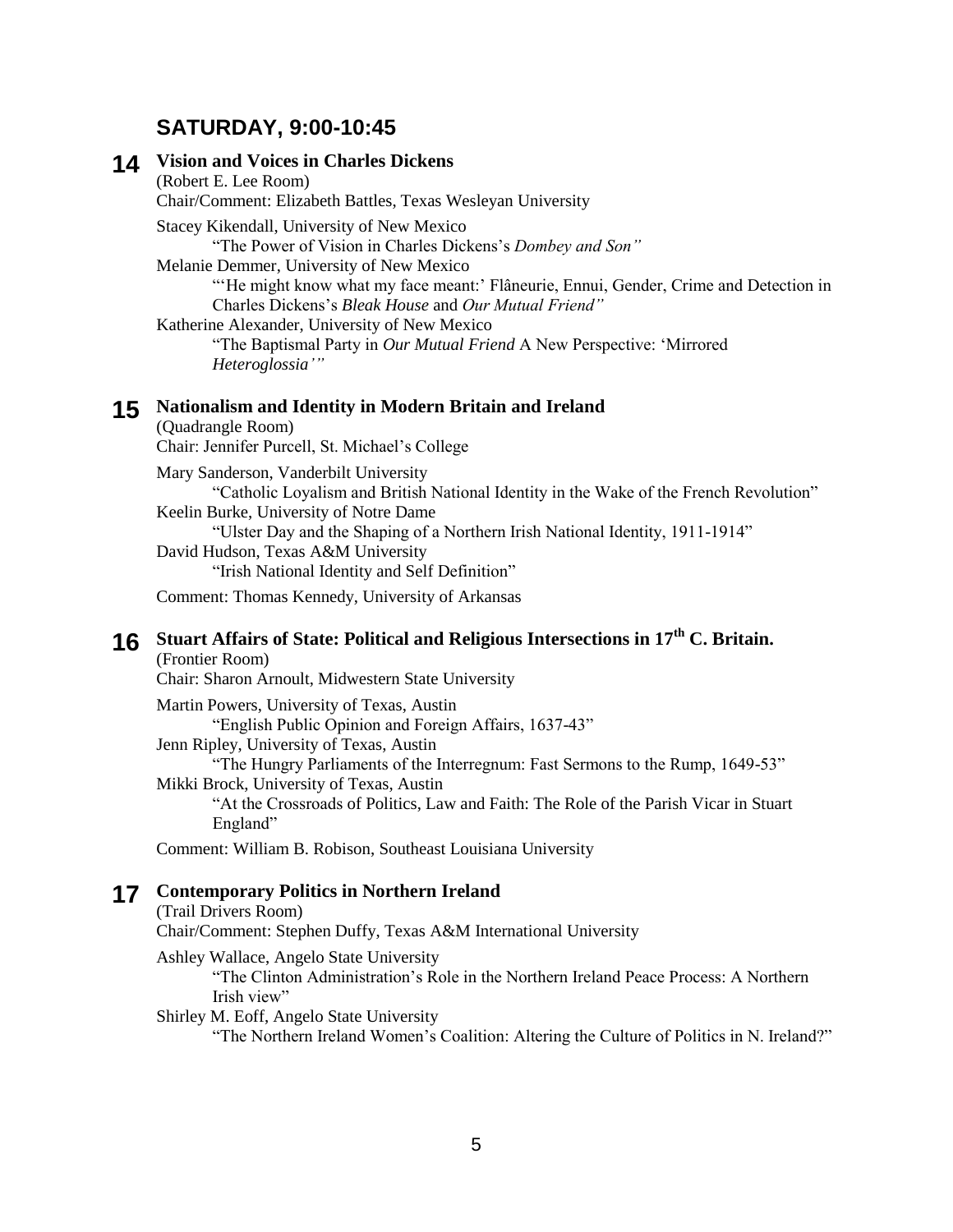## **SATURDAY, 9:00-10:45**

| 14 | <b>Vision and Voices in Charles Dickens</b><br>(Robert E. Lee Room)<br>Chair/Comment: Elizabeth Battles, Texas Wesleyan University                                                                                                                                                                                                                                                                                             |  |  |  |  |  |
|----|--------------------------------------------------------------------------------------------------------------------------------------------------------------------------------------------------------------------------------------------------------------------------------------------------------------------------------------------------------------------------------------------------------------------------------|--|--|--|--|--|
|    | Stacey Kikendall, University of New Mexico<br>"The Power of Vision in Charles Dickens's Dombey and Son"<br>Melanie Demmer, University of New Mexico<br>"He might know what my face meant:' Flâneurie, Ennui, Gender, Crime and Detection in<br>Charles Dickens's Bleak House and Our Mutual Friend"<br>Katherine Alexander, University of New Mexico<br>"The Baptismal Party in Our Mutual Friend A New Perspective: 'Mirrored |  |  |  |  |  |
| 15 | Heteroglossia"<br><b>Nationalism and Identity in Modern Britain and Ireland</b><br>(Quadrangle Room)<br>Chair: Jennifer Purcell, St. Michael's College                                                                                                                                                                                                                                                                         |  |  |  |  |  |
|    | Mary Sanderson, Vanderbilt University<br>"Catholic Loyalism and British National Identity in the Wake of the French Revolution"<br>Keelin Burke, University of Notre Dame                                                                                                                                                                                                                                                      |  |  |  |  |  |

"Ulster Day and the Shaping of a Northern Irish National Identity, 1911-1914"

David Hudson, Texas A&M University

"Irish National Identity and Self Definition"

Comment: Thomas Kennedy, University of Arkansas

### **16 Stuart Affairs of State: Political and Religious Intersections in 17th C. Britain.** (Frontier Room)

Chair: Sharon Arnoult, Midwestern State University

Martin Powers, University of Texas, Austin

"English Public Opinion and Foreign Affairs, 1637-43"

Jenn Ripley, University of Texas, Austin

"The Hungry Parliaments of the Interregnum: Fast Sermons to the Rump, 1649-53"

Mikki Brock, University of Texas, Austin

"At the Crossroads of Politics, Law and Faith: The Role of the Parish Vicar in Stuart England"

Comment: William B. Robison, Southeast Louisiana University

#### **17 Contemporary Politics in Northern Ireland**

(Trail Drivers Room)

Chair/Comment: Stephen Duffy, Texas A&M International University

Ashley Wallace, Angelo State University

"The Clinton Administration's Role in the Northern Ireland Peace Process: A Northern Irish view"

Shirley M. Eoff, Angelo State University

"The Northern Ireland Women's Coalition: Altering the Culture of Politics in N. Ireland?"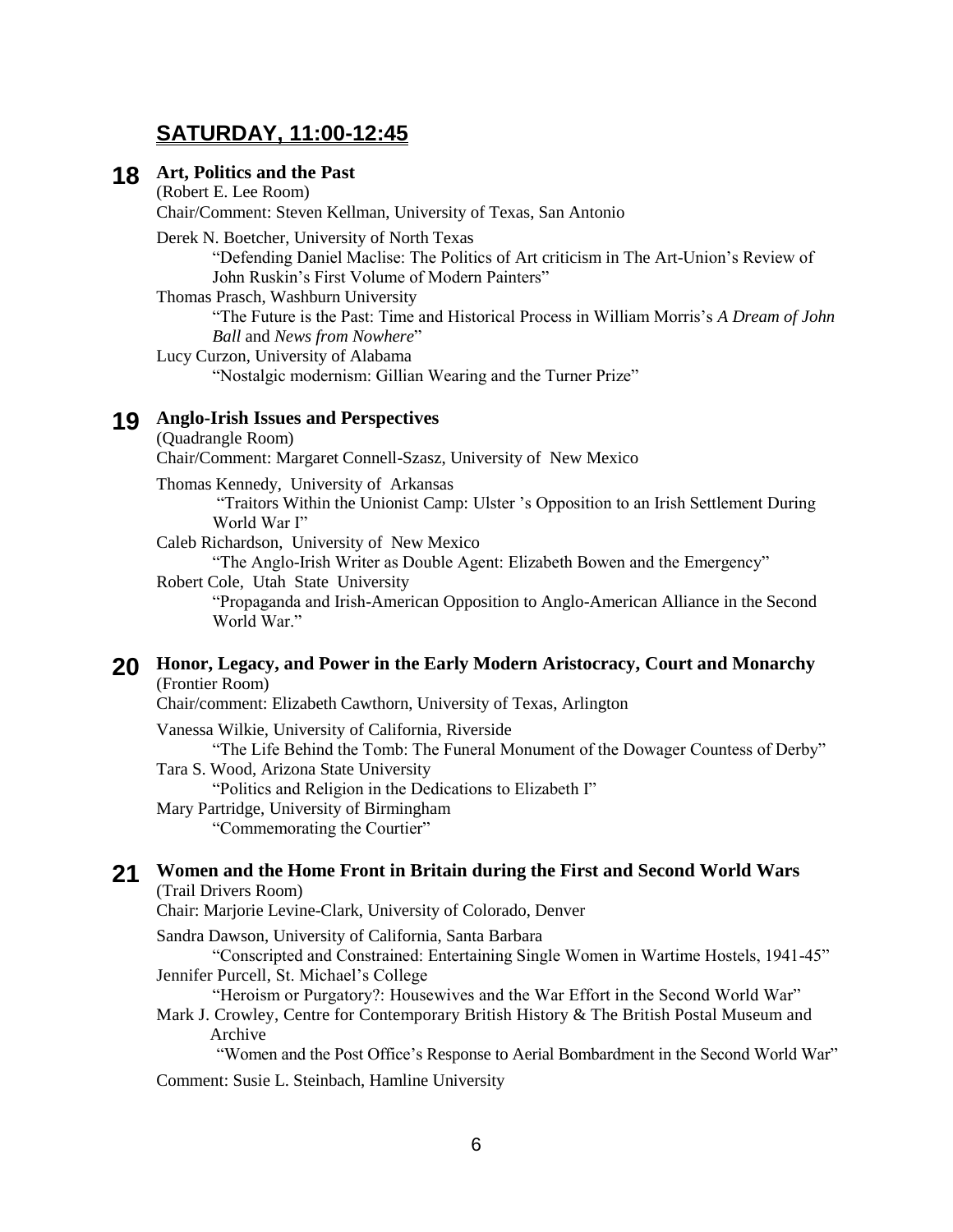## **SATURDAY, 11:00-12:45**

### **18 Art, Politics and the Past**

(Robert E. Lee Room) Chair/Comment: Steven Kellman, University of Texas, San Antonio Derek N. Boetcher, University of North Texas

"Defending Daniel Maclise: The Politics of Art criticism in The Art-Union's Review of John Ruskin's First Volume of Modern Painters"

Thomas Prasch, Washburn University

"The Future is the Past: Time and Historical Process in William Morris's *A Dream of John Ball* and *News from Nowhere*"

Lucy Curzon, University of Alabama "Nostalgic modernism: Gillian Wearing and the Turner Prize"

#### **19 Anglo-Irish Issues and Perspectives**

(Quadrangle Room)

Chair/Comment: Margaret Connell-Szasz, University of New Mexico

Thomas Kennedy, University of Arkansas

"Traitors Within the Unionist Camp: Ulster 's Opposition to an Irish Settlement During World War I"

Caleb Richardson, University of New Mexico

"The Anglo-Irish Writer as Double Agent: Elizabeth Bowen and the Emergency"

Robert Cole, Utah State University

"Propaganda and Irish-American Opposition to Anglo-American Alliance in the Second World War."

#### **20 Honor, Legacy, and Power in the Early Modern Aristocracy, Court and Monarchy** (Frontier Room)

Chair/comment: Elizabeth Cawthorn, University of Texas, Arlington

Vanessa Wilkie, University of California, Riverside

"The Life Behind the Tomb: The Funeral Monument of the Dowager Countess of Derby" Tara S. Wood, Arizona State University

"Politics and Religion in the Dedications to Elizabeth I"

Mary Partridge, University of Birmingham

"Commemorating the Courtier"

#### **21 Women and the Home Front in Britain during the First and Second World Wars**

(Trail Drivers Room)

Chair: Marjorie Levine-Clark, University of Colorado, Denver

Sandra Dawson, University of California, Santa Barbara

"Conscripted and Constrained: Entertaining Single Women in Wartime Hostels, 1941-45" Jennifer Purcell, St. Michael's College

"Heroism or Purgatory?: Housewives and the War Effort in the Second World War"

Mark J. Crowley, Centre for Contemporary British History & The British Postal Museum and Archive

"Women and the Post Office's Response to Aerial Bombardment in the Second World War"

Comment: Susie L. Steinbach, Hamline University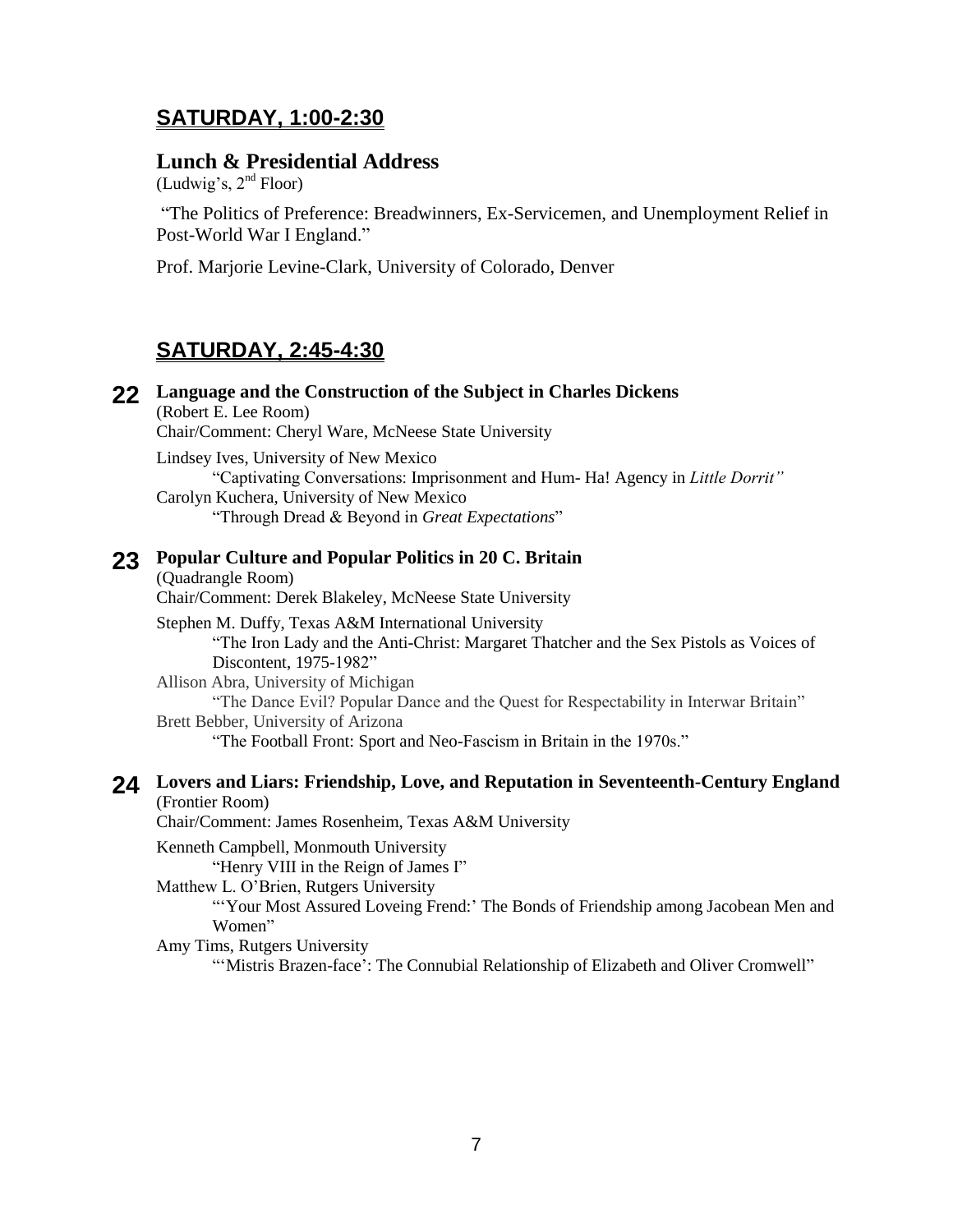## **SATURDAY, 1:00-2:30**

#### **Lunch & Presidential Address**

(Ludwig's,  $2<sup>nd</sup>$  Floor)

"The Politics of Preference: Breadwinners, Ex-Servicemen, and Unemployment Relief in Post-World War I England."

Prof. Marjorie Levine-Clark, University of Colorado, Denver

## **SATURDAY, 2:45-4:30**

**22 Language and the Construction of the Subject in Charles Dickens** (Robert E. Lee Room) Chair/Comment: Cheryl Ware, McNeese State University Lindsey Ives, University of New Mexico "Captivating Conversations: Imprisonment and Hum- Ha! Agency in *Little Dorrit"* Carolyn Kuchera, University of New Mexico "Through Dread & Beyond in *Great Expectations*"

**23 Popular Culture and Popular Politics in 20 C. Britain** (Quadrangle Room) Chair/Comment: Derek Blakeley, McNeese State University Stephen M. Duffy, Texas A&M International University "The Iron Lady and the Anti-Christ: Margaret Thatcher and the Sex Pistols as Voices of Discontent, 1975-1982" Allison Abra, University of Michigan "The Dance Evil? Popular Dance and the Quest for Respectability in Interwar Britain" Brett Bebber, University of Arizona "The Football Front: Sport and Neo-Fascism in Britain in the 1970s."

#### **24 Lovers and Liars: Friendship, Love, and Reputation in Seventeenth-Century England** (Frontier Room)

Chair/Comment: James Rosenheim, Texas A&M University

Kenneth Campbell, Monmouth University

"Henry VIII in the Reign of James I"

Matthew L. O'Brien, Rutgers University

"'Your Most Assured Loveing Frend:' The Bonds of Friendship among Jacobean Men and Women"

Amy Tims, Rutgers University

"'Mistris Brazen-face': The Connubial Relationship of Elizabeth and Oliver Cromwell"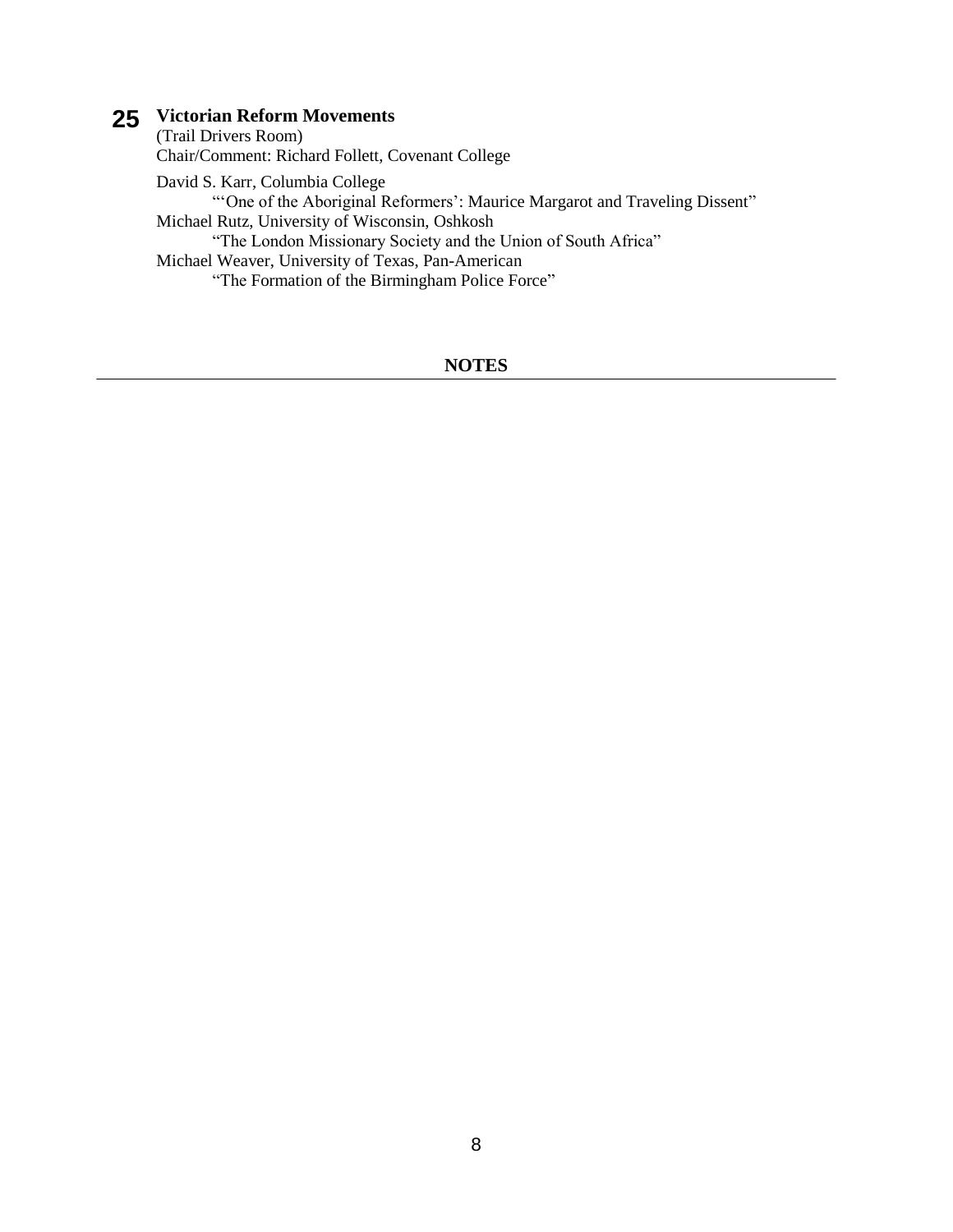## **25 Victorian Reform Movements**

(Trail Drivers Room) Chair/Comment: Richard Follett, Covenant College

David S. Karr, Columbia College "'One of the Aboriginal Reformers': Maurice Margarot and Traveling Dissent" Michael Rutz, University of Wisconsin, Oshkosh "The London Missionary Society and the Union of South Africa" Michael Weaver, University of Texas, Pan-American "The Formation of the Birmingham Police Force"

**NOTES**